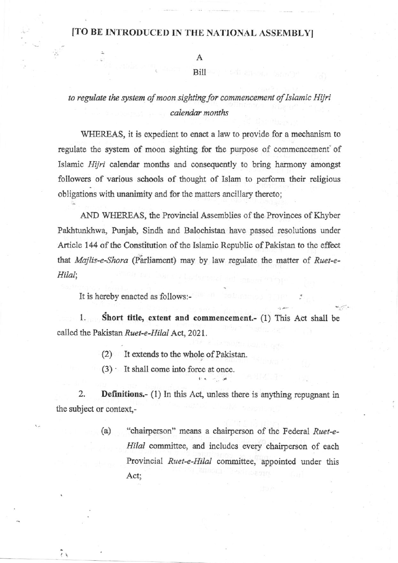## [TO BE INTRODUCED IN THE NATIONAL ASSEMBLY]

Α

## Bill

## to regulate the system of moon sighting for commencement of Islamic Hijri calendar months

WHEREAS, it is expedient to enact a law to provide for a mechanism to regulate the system of moon sighting for the purpose of commencement of Islamic Hijri calendar months and consequently to bring harmony amongst followers of various schools of thought of Islam to perform their religious obligations with unanimity and for the matters ancillary thereto;

AND WHEREAS, the Provincial Assemblies of the Provinces of Khyber Pakhtunkhwa, Punjab, Sindh and Balochistan have passed resolutions under Article 144 of the Constitution of the Islamic Republic of Pakistan to the effect that Majlis-e-Shora (Parliament) may by law regulate the matter of Ruet-e-Hilal;

It is hereby enacted as follows:-

1. Short title, extent and commencement.- (1) This Act shall be called the Pakistan Ruet-e-Hilal Act, 2021.

- (2) It extends to the whole of Pakistan.
- (3) It shall come into force at once,

2. **Definitions.-** (1) In this Act, unless there is anything repugnant in the subject or context,-

> (a) "chairperson" means a chairperson of the Federal  $Ruet-e-$ Hilal committee, and includes every chairperson of each Provincial Ruet-e-Hilal committee, appointed under this Act;

 $\tilde{r}$ 

 $\frac{1}{t+b}$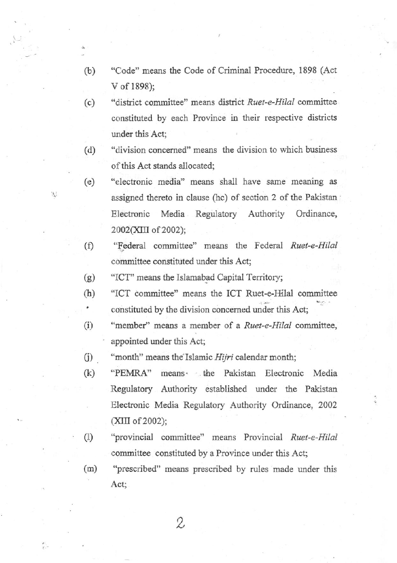- (b) "Code" means the Code of Criminal Procedure, 1898 (Act V of 1898);
- (c) "district committee" means district Ruet-e-Hilal committee constituted by each Province in their respective districts under this Act;
- (d) "division concemed" means the division to which business of this Act stands allocated;
- (e) "electronic media" means shall have same meaning as assigned thereto in clause (hc) of section 2 of the Pakistaa Electronic Media Regulatory Authority Ordinance, 2002(XIII of 2002);
- $(f)$ "Federal committee" means the Federal Ruet-e-Hilal committee constituted under this Act;
- (e) "ICT"' means the Islarnabad Capital Territory;

W

- "ICT committee" means the ICT Ruet-e-Ifilal committee  $(h)$ constituted by the division concerned under this Act; ٠
- (i) "member" means a member of a Ruet-e-Hilal committee, appointed mder this Act;
- $(i)$ "month" means the Islamic Hijri calendar month;
- (k) "PEMRA" means' the Pakistan Electronic Media Regulatory Authority established under the Pakistan Electronic Media Regulatory Authority Ordinance, 2002  $(XIII of 2002);$
- $(1)$ "provincial committee" means Provincial Ruet-e-Hilal committee constituted by a Province under this Act;
- "prescribed" means prescribed by rules made under this Act; (m)

2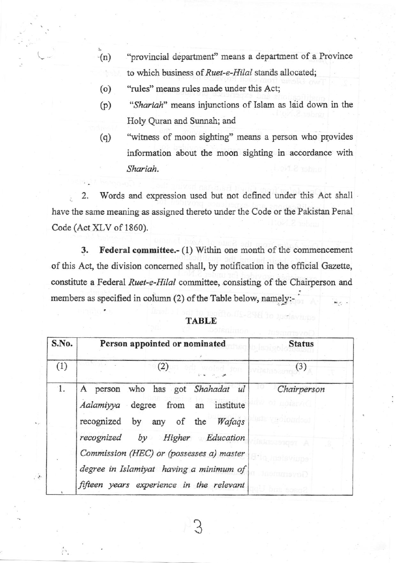- $-(n)$ "provincial departnent' means a departnent of a Province to which business of Ruet-e-Hilal stands allocated;
- (o) "rules" means rules made under this Act;
- (p) "Shariah" means injunctions of Islam as laid down in the Holy Quran and Sunnah; and
- "witress of moon sighting" means a person who provides information about the moon sighting in accordance with Shariah. (q)

2. Words and expression used but not defined under this Act shall ÿ. have the same meaning as assigned thereto under the Code or the Pakistan Penal Code (Act XLV of 1860).

3. Federal committee.- (1) Within one month of the commencement of this Act, the division concemed shall, by notification in the official Gazette, constitute a Federal Ruet-e-Hilal committee, consisting of the Chairperson and members as specified in column (2) of the Table below, namely:-

| S.No.          | Person appointed or nominated                                                                                                                                                                                                               | <b>Status</b> |
|----------------|---------------------------------------------------------------------------------------------------------------------------------------------------------------------------------------------------------------------------------------------|---------------|
| (1)            | (2)                                                                                                                                                                                                                                         | (3)           |
| $\mathbf{1}$ . | A person who has got Shahadat ul<br>degree from an institute<br>Aalamiyya<br>recognized by any of the<br>Wafaqs<br>by Higher Education<br>recognized<br>Commission (HEC) or (possesses a) master<br>degree in Islamiyat having a minimum of | Chairperson   |
|                | fifteen years experience in the relevant                                                                                                                                                                                                    |               |

3

 $\mathcal{P}$  .

Ýч.

## TABLE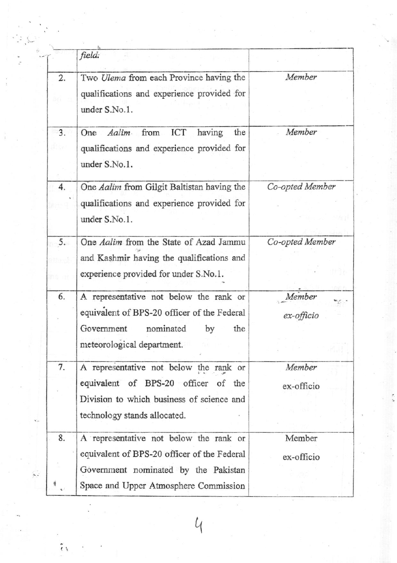|    | field:                                                                                                                                                                 |                      |
|----|------------------------------------------------------------------------------------------------------------------------------------------------------------------------|----------------------|
| 2. | Two Ulema from each Province having the<br>qualifications and experience provided for<br>under S.No.1.                                                                 | Member               |
| 3. | ICT<br>having<br>the<br>Aalim<br>from<br>One<br>qualifications and experience provided for<br>under S.No.1.                                                            | Member               |
| 4. | One Aalim from Gilgit Baltistan having the<br>qualifications and experience provided for<br>under S.No.1.                                                              | Co-opted Member      |
| 5. | One Aalim from the State of Azad Jammu<br>and Kashmir having the qualifications and<br>experience provided for under S.No.1.                                           | Co-opted Member      |
| 6. | A representative not below the rank or<br>equivalent of BPS-20 officer of the Federal<br>Government<br>nominated<br>the<br>by<br>meteorological department.            | Member<br>ex-officio |
| 7. | A representative not below the rank or<br>equivalent of BPS-20 officer of the<br>Division to which business of science and<br>technology stands allocated.             | Member<br>ex-officio |
| 8. | A representative not below the rank or<br>equivalent of BPS-20 officer of the Federal<br>Government nominated by the Pakistan<br>Space and Upper Atmosphere Commission | Member<br>ex-officio |

 $\mathcal{U}$ 

ŗ